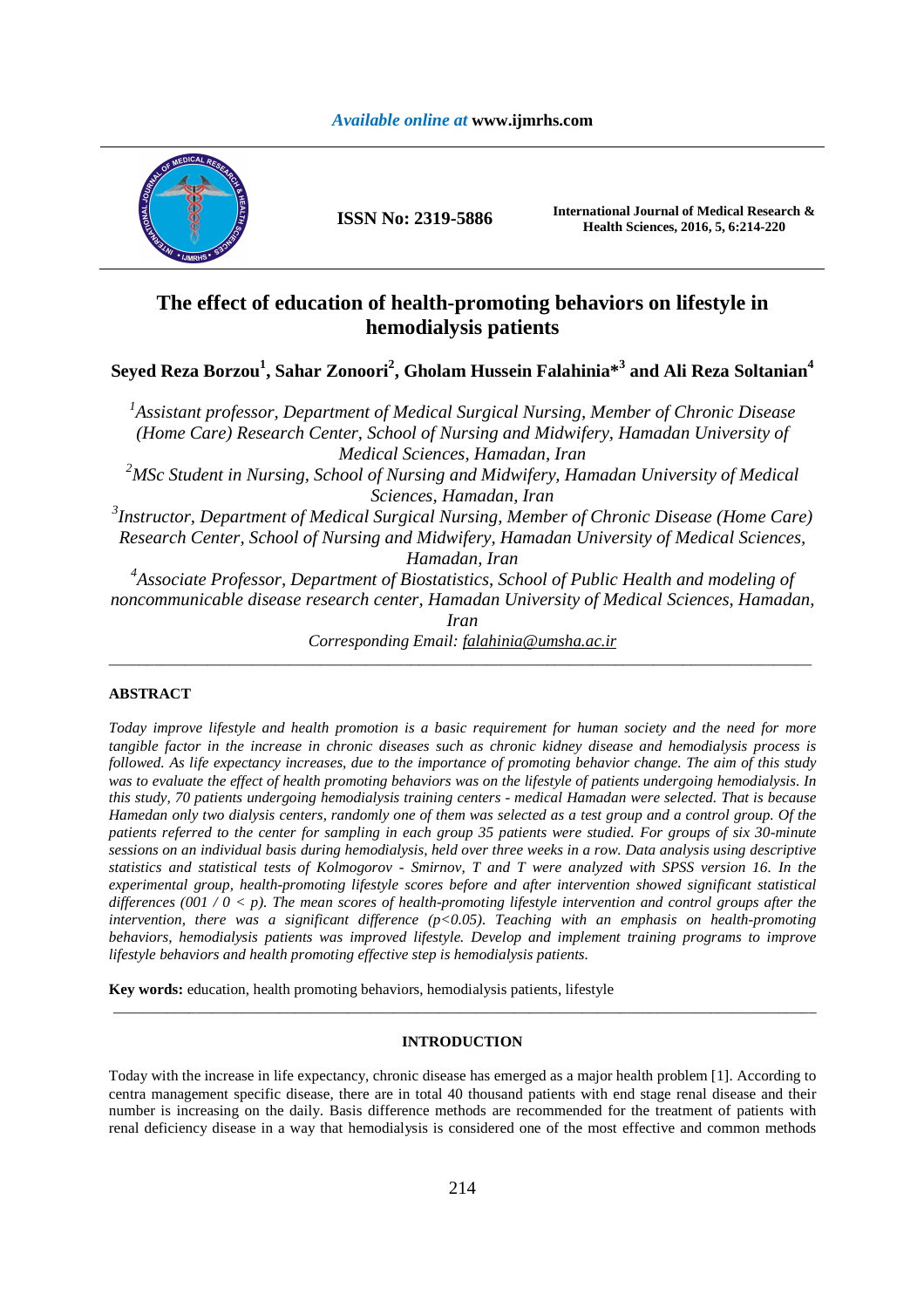# *Available online at* **www.ijmrhs.com**



**ISSN No: 2319-5886 International Journal of Medical Research & Health Sciences, 2016, 5, 6:214-220** 

# **The effect of education of health-promoting behaviors on lifestyle in hemodialysis patients**

**Seyed Reza Borzou<sup>1</sup> , Sahar Zonoori<sup>2</sup> , Gholam Hussein Falahinia\*<sup>3</sup> and Ali Reza Soltanian<sup>4</sup>**

*1 Assistant professor, Department of Medical Surgical Nursing, Member of Chronic Disease (Home Care) Research Center, School of Nursing and Midwifery, Hamadan University of Medical Sciences, Hamadan, Iran <sup>2</sup>MSc Student in Nursing, School of Nursing and Midwifery, Hamadan University of Medical Sciences, Hamadan, Iran 3 Instructor, Department of Medical Surgical Nursing, Member of Chronic Disease (Home Care) Research Center, School of Nursing and Midwifery, Hamadan University of Medical Sciences, Hamadan, Iran 4 Associate Professor, Department of Biostatistics, School of Public Health and modeling of* 

*noncommunicable disease research center, Hamadan University of Medical Sciences, Hamadan, Iran* 

*Corresponding Email: falahinia@umsha.ac.ir*  \_\_\_\_\_\_\_\_\_\_\_\_\_\_\_\_\_\_\_\_\_\_\_\_\_\_\_\_\_\_\_\_\_\_\_\_\_\_\_\_\_\_\_\_\_\_\_\_\_\_\_\_\_\_\_\_\_\_\_\_\_\_\_\_\_\_\_\_\_\_\_\_\_\_\_\_\_\_\_\_\_\_\_\_\_\_\_\_\_\_\_\_\_

# **ABSTRACT**

*Today improve lifestyle and health promotion is a basic requirement for human society and the need for more tangible factor in the increase in chronic diseases such as chronic kidney disease and hemodialysis process is followed. As life expectancy increases, due to the importance of promoting behavior change. The aim of this study was to evaluate the effect of health promoting behaviors was on the lifestyle of patients undergoing hemodialysis. In this study, 70 patients undergoing hemodialysis training centers - medical Hamadan were selected. That is because Hamedan only two dialysis centers, randomly one of them was selected as a test group and a control group. Of the patients referred to the center for sampling in each group 35 patients were studied. For groups of six 30-minute sessions on an individual basis during hemodialysis, held over three weeks in a row. Data analysis using descriptive statistics and statistical tests of Kolmogorov - Smirnov, T and T were analyzed with SPSS version 16. In the experimental group, health-promoting lifestyle scores before and after intervention showed significant statistical differences (001 / 0 < p). The mean scores of health-promoting lifestyle intervention and control groups after the intervention, there was a significant difference (p<0.05). Teaching with an emphasis on health-promoting behaviors, hemodialysis patients was improved lifestyle. Develop and implement training programs to improve lifestyle behaviors and health promoting effective step is hemodialysis patients.* 

**Key words:** education, health promoting behaviors, hemodialysis patients, lifestyle

## **INTRODUCTION**

\_\_\_\_\_\_\_\_\_\_\_\_\_\_\_\_\_\_\_\_\_\_\_\_\_\_\_\_\_\_\_\_\_\_\_\_\_\_\_\_\_\_\_\_\_\_\_\_\_\_\_\_\_\_\_\_\_\_\_\_\_\_\_\_\_\_\_\_\_\_\_\_\_\_\_\_\_\_\_\_\_\_\_\_\_\_\_\_\_\_\_\_\_

Today with the increase in life expectancy, chronic disease has emerged as a major health problem [1]. According to centra management specific disease, there are in total 40 thousand patients with end stage renal disease and their number is increasing on the daily. Basis difference methods are recommended for the treatment of patients with renal deficiency disease in a way that hemodialysis is considered one of the most effective and common methods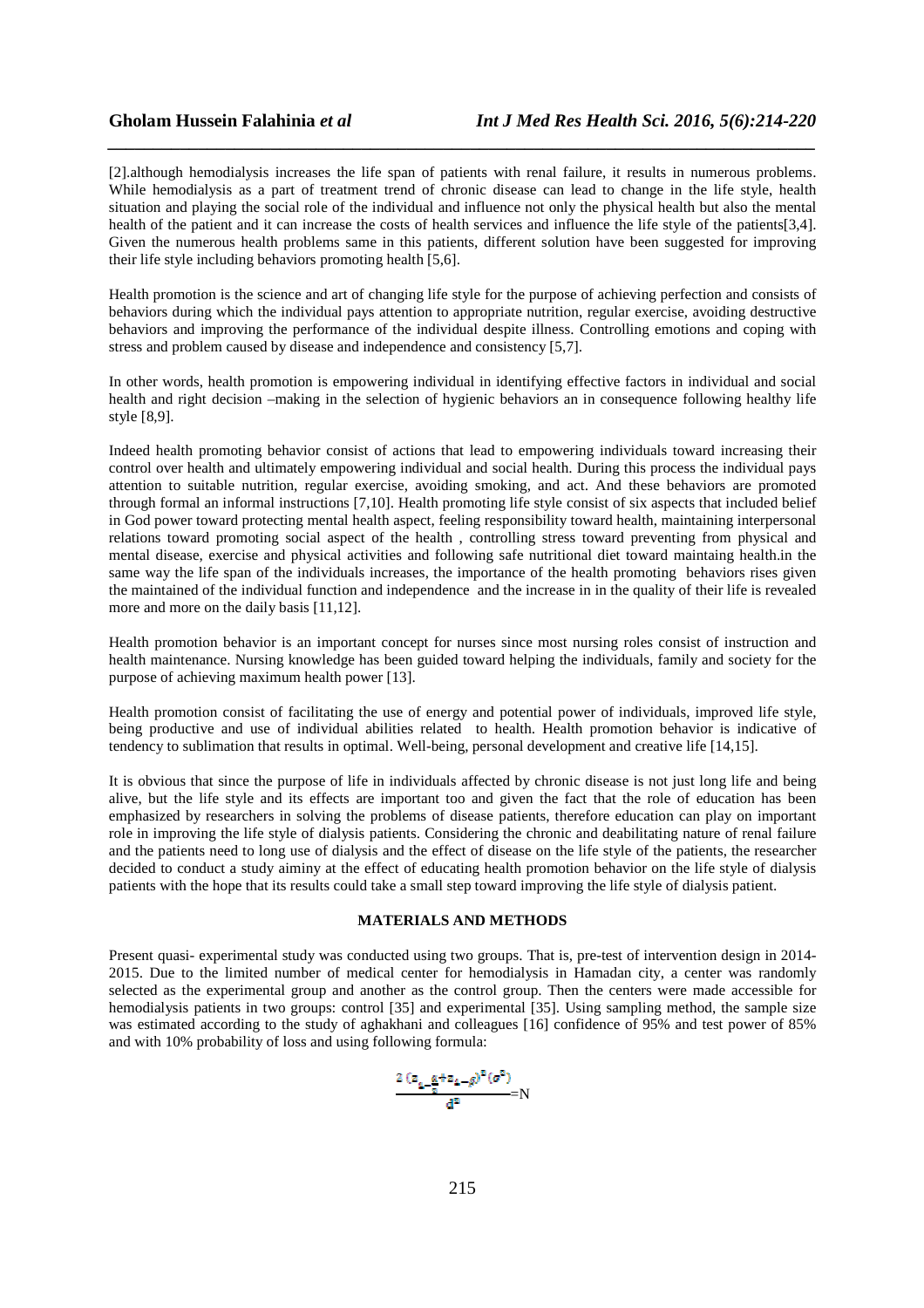[2].although hemodialysis increases the life span of patients with renal failure, it results in numerous problems. While hemodialysis as a part of treatment trend of chronic disease can lead to change in the life style, health situation and playing the social role of the individual and influence not only the physical health but also the mental health of the patient and it can increase the costs of health services and influence the life style of the patients[3,4]. Given the numerous health problems same in this patients, different solution have been suggested for improving their life style including behaviors promoting health  $\overline{[5,6]}$ .

*\_\_\_\_\_\_\_\_\_\_\_\_\_\_\_\_\_\_\_\_\_\_\_\_\_\_\_\_\_\_\_\_\_\_\_\_\_\_\_\_\_\_\_\_\_\_\_\_\_\_\_\_\_\_\_\_\_\_\_\_\_\_\_\_\_\_\_\_\_\_\_\_\_\_\_\_\_\_*

Health promotion is the science and art of changing life style for the purpose of achieving perfection and consists of behaviors during which the individual pays attention to appropriate nutrition, regular exercise, avoiding destructive behaviors and improving the performance of the individual despite illness. Controlling emotions and coping with stress and problem caused by disease and independence and consistency [5,7].

In other words, health promotion is empowering individual in identifying effective factors in individual and social health and right decision –making in the selection of hygienic behaviors an in consequence following healthy life style [8,9].

Indeed health promoting behavior consist of actions that lead to empowering individuals toward increasing their control over health and ultimately empowering individual and social health. During this process the individual pays attention to suitable nutrition, regular exercise, avoiding smoking, and act. And these behaviors are promoted through formal an informal instructions [7,10]. Health promoting life style consist of six aspects that included belief in God power toward protecting mental health aspect, feeling responsibility toward health, maintaining interpersonal relations toward promoting social aspect of the health , controlling stress toward preventing from physical and mental disease, exercise and physical activities and following safe nutritional diet toward maintaing health.in the same way the life span of the individuals increases, the importance of the health promoting behaviors rises given the maintained of the individual function and independence and the increase in in the quality of their life is revealed more and more on the daily basis [11,12].

Health promotion behavior is an important concept for nurses since most nursing roles consist of instruction and health maintenance. Nursing knowledge has been guided toward helping the individuals, family and society for the purpose of achieving maximum health power [13].

Health promotion consist of facilitating the use of energy and potential power of individuals, improved life style, being productive and use of individual abilities related to health. Health promotion behavior is indicative of tendency to sublimation that results in optimal. Well-being, personal development and creative life [14,15].

It is obvious that since the purpose of life in individuals affected by chronic disease is not just long life and being alive, but the life style and its effects are important too and given the fact that the role of education has been emphasized by researchers in solving the problems of disease patients, therefore education can play on important role in improving the life style of dialysis patients. Considering the chronic and deabilitating nature of renal failure and the patients need to long use of dialysis and the effect of disease on the life style of the patients, the researcher decided to conduct a study aiminy at the effect of educating health promotion behavior on the life style of dialysis patients with the hope that its results could take a small step toward improving the life style of dialysis patient.

# **MATERIALS AND METHODS**

Present quasi- experimental study was conducted using two groups. That is, pre-test of intervention design in 2014- 2015. Due to the limited number of medical center for hemodialysis in Hamadan city, a center was randomly selected as the experimental group and another as the control group. Then the centers were made accessible for hemodialysis patients in two groups: control [35] and experimental [35]. Using sampling method, the sample size was estimated according to the study of aghakhani and colleagues [16] confidence of 95% and test power of 85% and with 10% probability of loss and using following formula:

$$
\frac{\frac{2\left(z_{1-\frac{\alpha}{2}}+z_{1-\beta}\right)^2(\sigma^2)}{d^2}}{d^2}N
$$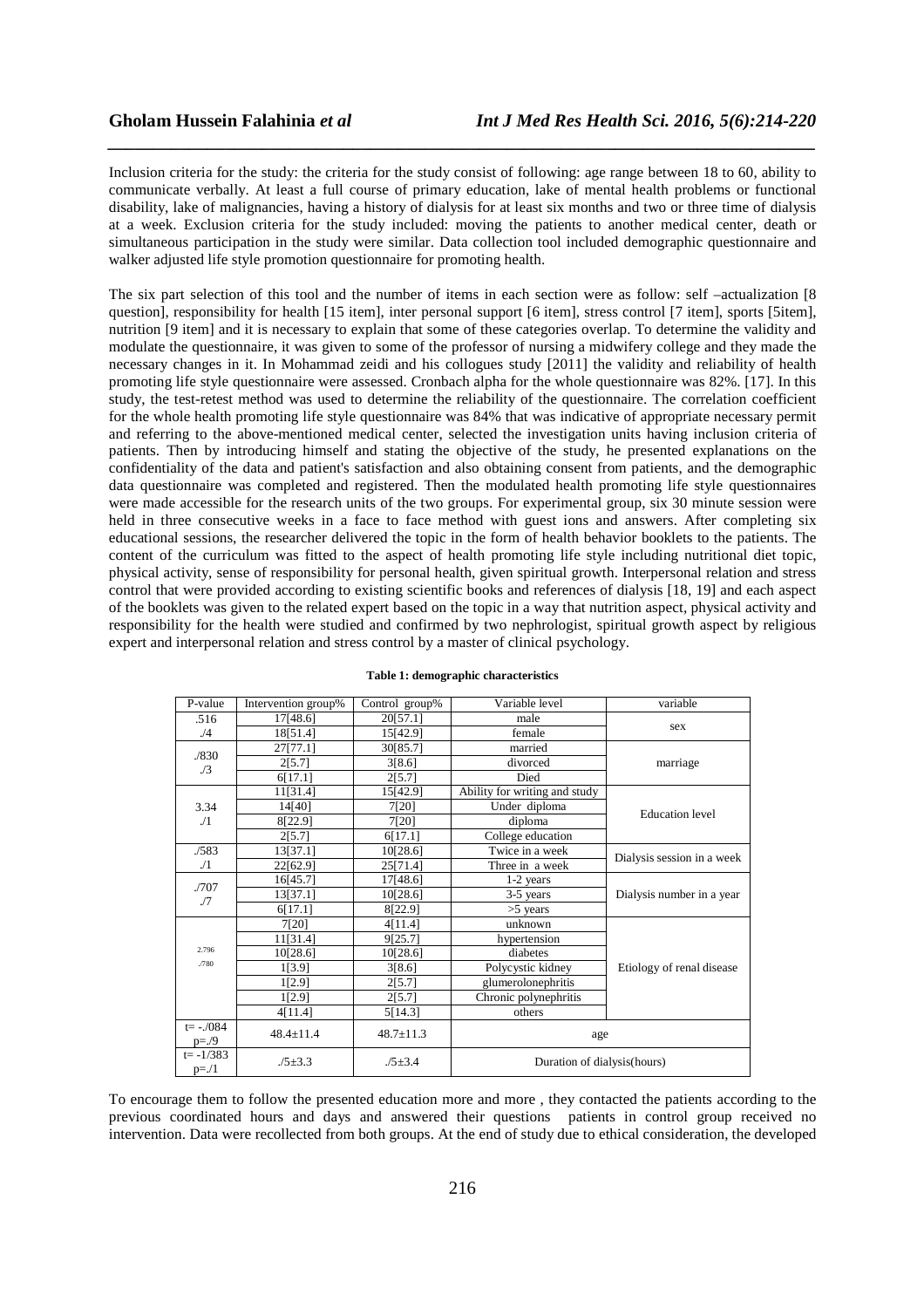Inclusion criteria for the study: the criteria for the study consist of following: age range between 18 to 60, ability to communicate verbally. At least a full course of primary education, lake of mental health problems or functional disability, lake of malignancies, having a history of dialysis for at least six months and two or three time of dialysis at a week. Exclusion criteria for the study included: moving the patients to another medical center, death or simultaneous participation in the study were similar. Data collection tool included demographic questionnaire and walker adjusted life style promotion questionnaire for promoting health.

*\_\_\_\_\_\_\_\_\_\_\_\_\_\_\_\_\_\_\_\_\_\_\_\_\_\_\_\_\_\_\_\_\_\_\_\_\_\_\_\_\_\_\_\_\_\_\_\_\_\_\_\_\_\_\_\_\_\_\_\_\_\_\_\_\_\_\_\_\_\_\_\_\_\_\_\_\_\_*

The six part selection of this tool and the number of items in each section were as follow: self –actualization [8 question], responsibility for health [15 item], inter personal support [6 item], stress control [7 item], sports [5item], nutrition [9 item] and it is necessary to explain that some of these categories overlap. To determine the validity and modulate the questionnaire, it was given to some of the professor of nursing a midwifery college and they made the necessary changes in it. In Mohammad zeidi and his collogues study [2011] the validity and reliability of health promoting life style questionnaire were assessed. Cronbach alpha for the whole questionnaire was 82%. [17]. In this study, the test-retest method was used to determine the reliability of the questionnaire. The correlation coefficient for the whole health promoting life style questionnaire was 84% that was indicative of appropriate necessary permit and referring to the above-mentioned medical center, selected the investigation units having inclusion criteria of patients. Then by introducing himself and stating the objective of the study, he presented explanations on the confidentiality of the data and patient's satisfaction and also obtaining consent from patients, and the demographic data questionnaire was completed and registered. Then the modulated health promoting life style questionnaires were made accessible for the research units of the two groups. For experimental group, six 30 minute session were held in three consecutive weeks in a face to face method with guest ions and answers. After completing six educational sessions, the researcher delivered the topic in the form of health behavior booklets to the patients. The content of the curriculum was fitted to the aspect of health promoting life style including nutritional diet topic, physical activity, sense of responsibility for personal health, given spiritual growth. Interpersonal relation and stress control that were provided according to existing scientific books and references of dialysis [18, 19] and each aspect of the booklets was given to the related expert based on the topic in a way that nutrition aspect, physical activity and responsibility for the health were studied and confirmed by two nephrologist, spiritual growth aspect by religious expert and interpersonal relation and stress control by a master of clinical psychology.

| P-value             | Intervention group% | Control group%  | Variable level                    | variable                   |  |
|---------------------|---------------------|-----------------|-----------------------------------|----------------------------|--|
| .516                | 17[48.6]            | 20[57.1]        | male                              | sex                        |  |
| $\sqrt{4}$          | 18[51.4]            | 15[42.9]        | female                            |                            |  |
|                     | 27[77.1]            | 30[85.7]        | married                           |                            |  |
| ./830<br>$\sqrt{3}$ | 2[5.7]              | 3[8.6]          | divorced                          | marriage                   |  |
|                     | 6[17.1]             | 2[5.7]          | Died                              |                            |  |
|                     | 11[31.4]            | 15[42.9]        | Ability for writing and study     |                            |  |
| 3.34                | 14[40]              | 7[20]           | Under diploma                     |                            |  |
| ./1                 | 8[22.9]             | 7[20]           | <b>Education</b> level<br>diploma |                            |  |
|                     | 2[5.7]              | 6[17.1]         | College education                 |                            |  |
| ./583               | 13[37.1]            | 10[28.6]        | Twice in a week                   |                            |  |
| $\sqrt{1}$          | 22[62.9]            | 25[71.4]        | Three in a week                   | Dialysis session in a week |  |
|                     | 16[45.7]            | 17[48.6]        | $1-2$ years                       |                            |  |
| ./707<br>./7        | 13[37.1]            | 10[28.6]        | 3-5 years                         | Dialysis number in a year  |  |
|                     | 6[17.1]             | 8[22.9]         | $>5$ years                        |                            |  |
|                     | 7[20]               | 4[11.4]         | unknown                           |                            |  |
| 2.796               | 11[31.4]            | 9[25.7]         | hypertension                      |                            |  |
|                     | 10[28.6]            | 10[28.6]        | diabetes                          |                            |  |
| .780                | 1[3.9]              | 3[8.6]          | Polycystic kidney                 | Etiology of renal disease  |  |
|                     | 1[2.9]              | 2[5.7]          | glumerolonephritis                |                            |  |
|                     | 1[2.9]              | 2[5.7]          | Chronic polynephritis             |                            |  |
|                     | 4[11.4]             | 5[14.3]         | others                            |                            |  |
| $t = -.084$         | $48.4 \pm 11.4$     | $48.7 \pm 11.3$ | age                               |                            |  |
| $p = ./9$           |                     |                 |                                   |                            |  |
| $t = -1/383$        | $.75 \pm 3.3$       | $.75 \pm 3.4$   | Duration of dialysis (hours)      |                            |  |
| $p = 1/1$           |                     |                 |                                   |                            |  |

| Table 1: demographic characteristics |  |
|--------------------------------------|--|
|--------------------------------------|--|

To encourage them to follow the presented education more and more , they contacted the patients according to the previous coordinated hours and days and answered their questions patients in control group received no intervention. Data were recollected from both groups. At the end of study due to ethical consideration, the developed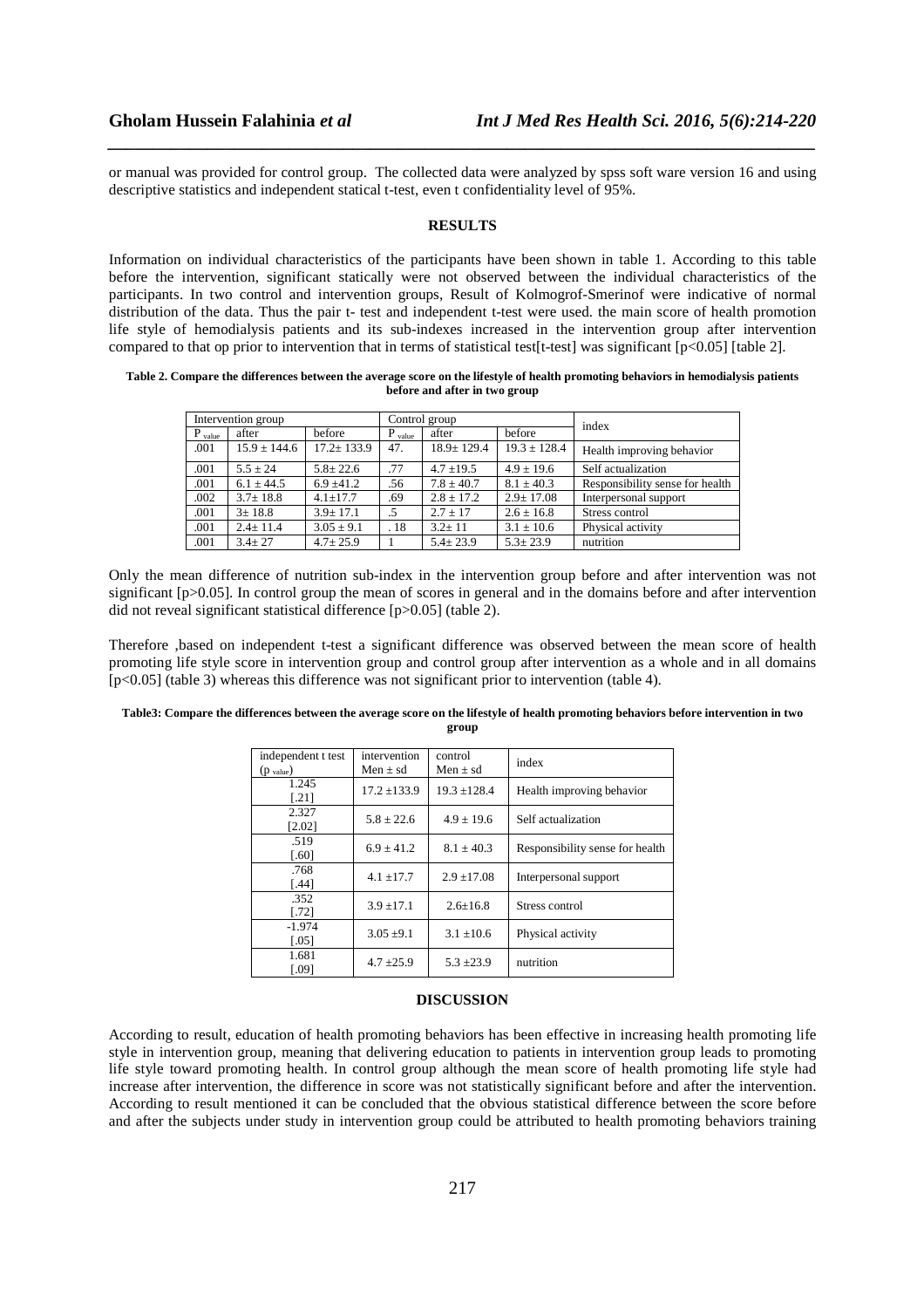or manual was provided for control group. The collected data were analyzed by spss soft ware version 16 and using descriptive statistics and independent statical t-test, even t confidentiality level of 95%.

*\_\_\_\_\_\_\_\_\_\_\_\_\_\_\_\_\_\_\_\_\_\_\_\_\_\_\_\_\_\_\_\_\_\_\_\_\_\_\_\_\_\_\_\_\_\_\_\_\_\_\_\_\_\_\_\_\_\_\_\_\_\_\_\_\_\_\_\_\_\_\_\_\_\_\_\_\_\_*

### **RESULTS**

Information on individual characteristics of the participants have been shown in table 1. According to this table before the intervention, significant statically were not observed between the individual characteristics of the participants. In two control and intervention groups, Result of Kolmogrof-Smerinof were indicative of normal distribution of the data. Thus the pair t- test and independent t-test were used. the main score of health promotion life style of hemodialysis patients and its sub-indexes increased in the intervention group after intervention compared to that op prior to intervention that in terms of statistical test[t-test] was significant [p<0.05] [table 2].

**Table 2. Compare the differences between the average score on the lifestyle of health promoting behaviors in hemodialysis patients before and after in two group** 

| Intervention group |                  |                  | Control group |                  |                  | index                           |
|--------------------|------------------|------------------|---------------|------------------|------------------|---------------------------------|
| $P_{value}$        | after            | before           | $P_{value}$   | after            | before           |                                 |
| .001               | $15.9 \pm 144.6$ | $17.2 \pm 133.9$ | 47.           | $18.9 \pm 129.4$ | $19.3 \pm 128.4$ | Health improving behavior       |
| .001               | $5.5 + 24$       | $5.8 \pm 22.6$   | .77           | $4.7 \pm 19.5$   | $4.9 \pm 19.6$   | Self actualization              |
| .001               | $6.1 + 44.5$     | $6.9 + 41.2$     | .56           | $7.8 + 40.7$     | $8.1 + 40.3$     | Responsibility sense for health |
| .002               | $3.7 \pm 18.8$   | $4.1 + 17.7$     | .69           | $2.8 \pm 17.2$   | $2.9 \pm 17.08$  | Interpersonal support           |
| .001               | $3 \pm 18.8$     | $3.9 \pm 17.1$   | .5            | $2.7 \pm 17$     | $2.6 \pm 16.8$   | Stress control                  |
| .001               | $2.4 \pm 11.4$   | $3.05 \pm 9.1$   | .18           | $3.2 \pm 11$     | $3.1 \pm 10.6$   | Physical activity               |
| .001               | $3.4 \pm 27$     | $4.7 \pm 25.9$   |               | $5.4 \pm 23.9$   | $5.3 \pm 23.9$   | nutrition                       |

Only the mean difference of nutrition sub-index in the intervention group before and after intervention was not significant [p>0.05]. In control group the mean of scores in general and in the domains before and after intervention did not reveal significant statistical difference [p>0.05] (table 2).

Therefore ,based on independent t-test a significant difference was observed between the mean score of health promoting life style score in intervention group and control group after intervention as a whole and in all domains [p<0.05] (table 3) whereas this difference was not significant prior to intervention (table 4).

| independent t test<br>$(p_{value})$ | intervention<br>Men $\pm$ sd | control<br>Men $\pm$ sd | index                           |  |
|-------------------------------------|------------------------------|-------------------------|---------------------------------|--|
|                                     |                              |                         |                                 |  |
| 1.245                               | $17.2 \pm 133.9$             | $19.3 + 128.4$          | Health improving behavior       |  |
| $[.21]$                             |                              |                         |                                 |  |
| 2.327                               |                              | $4.9 \pm 19.6$          |                                 |  |
| [2.02]                              | $5.8 \pm 22.6$               |                         | Self actualization              |  |
| .519                                |                              | $8.1 \pm 40.3$          | Responsibility sense for health |  |
| [.60]                               | $6.9 \pm 41.2$               |                         |                                 |  |
| .768                                |                              |                         |                                 |  |
| $[.44]$                             | $4.1 \pm 17.7$               | $2.9 \pm 17.08$         | Interpersonal support           |  |
| .352                                |                              |                         |                                 |  |
| [.72]                               | $3.9 \pm 17.1$               | $2.6 + 16.8$            | Stress control                  |  |
| $-1.974$                            |                              |                         |                                 |  |
| $\left[ .05 \right]$                | $3.05 \pm 9.1$               | $3.1 \pm 10.6$          | Physical activity               |  |
| 1.681                               |                              | $5.3 \pm 23.9$          |                                 |  |
| [.09]                               | $4.7 \pm 25.9$               |                         | nutrition                       |  |
|                                     |                              |                         |                                 |  |

#### **Table3: Compare the differences between the average score on the lifestyle of health promoting behaviors before intervention in two group**

#### **DISCUSSION**

According to result, education of health promoting behaviors has been effective in increasing health promoting life style in intervention group, meaning that delivering education to patients in intervention group leads to promoting life style toward promoting health. In control group although the mean score of health promoting life style had increase after intervention, the difference in score was not statistically significant before and after the intervention. According to result mentioned it can be concluded that the obvious statistical difference between the score before and after the subjects under study in intervention group could be attributed to health promoting behaviors training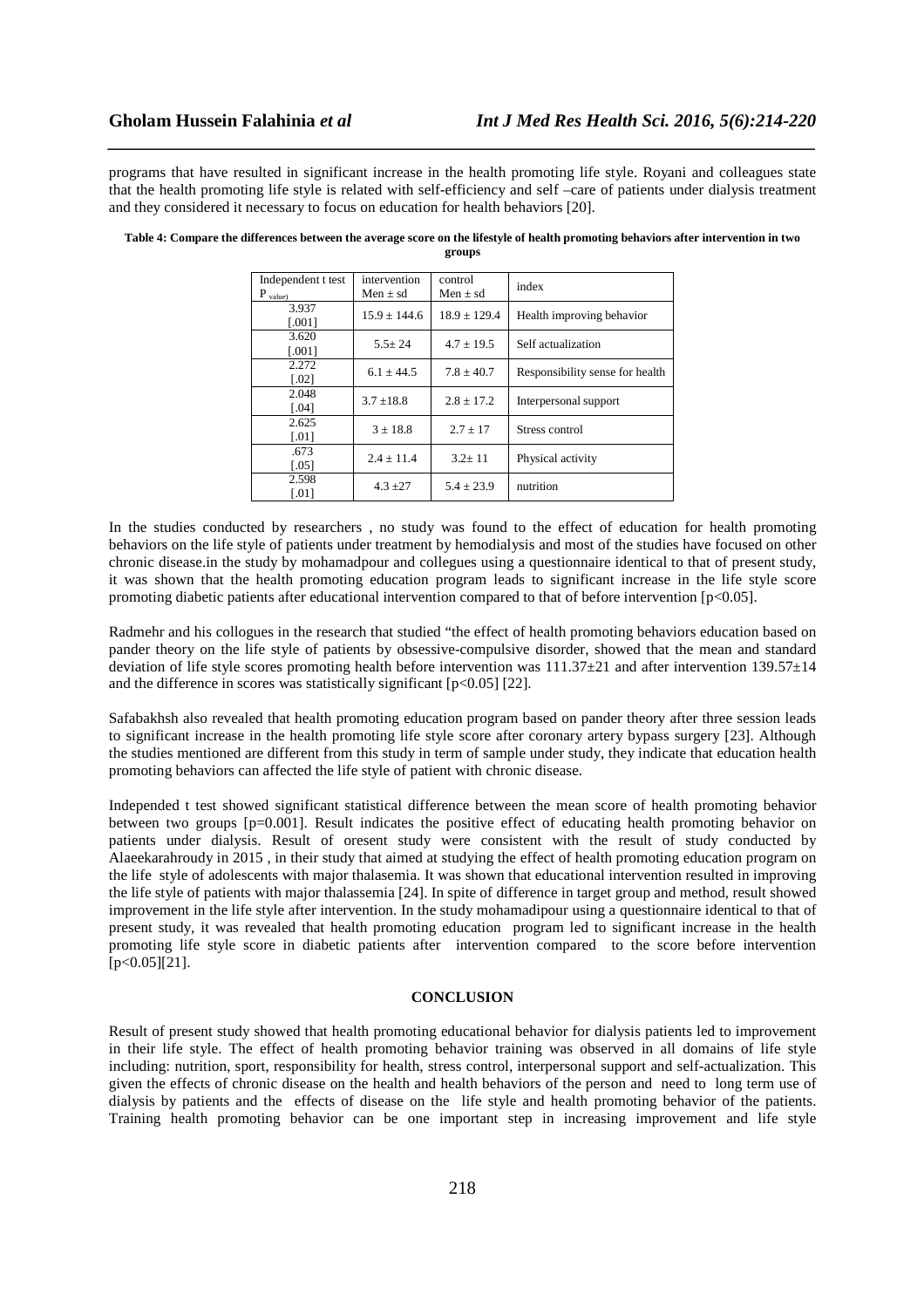programs that have resulted in significant increase in the health promoting life style. Royani and colleagues state that the health promoting life style is related with self-efficiency and self –care of patients under dialysis treatment and they considered it necessary to focus on education for health behaviors [20].

*\_\_\_\_\_\_\_\_\_\_\_\_\_\_\_\_\_\_\_\_\_\_\_\_\_\_\_\_\_\_\_\_\_\_\_\_\_\_\_\_\_\_\_\_\_\_\_\_\_\_\_\_\_\_\_\_\_\_\_\_\_\_\_\_\_\_\_\_\_\_\_\_\_\_\_\_\_\_*

| Independent t test  | intervention   | control          | index                           |  |
|---------------------|----------------|------------------|---------------------------------|--|
| $P_{value}$         | Men $\pm$ sd   | Men $\pm$ sd     |                                 |  |
| 3.937               | $15.9 + 144.6$ | $18.9 \pm 129.4$ | Health improving behavior       |  |
| [.001]              |                |                  |                                 |  |
| 3.620               | $5.5 + 24$     | $4.7 + 19.5$     | Self actualization              |  |
| [.001]              |                |                  |                                 |  |
| 2.272               | $6.1 + 44.5$   | $7.8 + 40.7$     | Responsibility sense for health |  |
| $\lceil .02 \rceil$ |                |                  |                                 |  |
| 2.048               | $3.7 \pm 18.8$ | $2.8 \pm 17.2$   | Interpersonal support           |  |
| [.04]               |                |                  |                                 |  |
| 2.625               | $3 + 18.8$     | $2.7 \pm 17$     | Stress control                  |  |
| $\lceil .01 \rceil$ |                |                  |                                 |  |
| .673                | $2.4 + 11.4$   | $3.2 + 11$       | Physical activity               |  |
| $[.05]$             |                |                  |                                 |  |
| 2.598               | $4.3 \pm 27$   | $5.4 \pm 23.9$   | nutrition                       |  |
| [.01]               |                |                  |                                 |  |
|                     |                |                  |                                 |  |

| Table 4: Compare the differences between the average score on the lifestyle of health promoting behaviors after intervention in two |
|-------------------------------------------------------------------------------------------------------------------------------------|
| groups                                                                                                                              |

In the studies conducted by researchers , no study was found to the effect of education for health promoting behaviors on the life style of patients under treatment by hemodialysis and most of the studies have focused on other chronic disease.in the study by mohamadpour and collegues using a questionnaire identical to that of present study, it was shown that the health promoting education program leads to significant increase in the life style score promoting diabetic patients after educational intervention compared to that of before intervention [p<0.05].

Radmehr and his collogues in the research that studied "the effect of health promoting behaviors education based on pander theory on the life style of patients by obsessive-compulsive disorder, showed that the mean and standard deviation of life style scores promoting health before intervention was 111.37±21 and after intervention 139.57±14 and the difference in scores was statistically significant  $[p<0.05]$  [22].

Safabakhsh also revealed that health promoting education program based on pander theory after three session leads to significant increase in the health promoting life style score after coronary artery bypass surgery [23]. Although the studies mentioned are different from this study in term of sample under study, they indicate that education health promoting behaviors can affected the life style of patient with chronic disease.

Independed t test showed significant statistical difference between the mean score of health promoting behavior between two groups [p=0.001]. Result indicates the positive effect of educating health promoting behavior on patients under dialysis. Result of oresent study were consistent with the result of study conducted by Alaeekarahroudy in 2015 , in their study that aimed at studying the effect of health promoting education program on the life style of adolescents with major thalasemia. It was shown that educational intervention resulted in improving the life style of patients with major thalassemia [24]. In spite of difference in target group and method, result showed improvement in the life style after intervention. In the study mohamadipour using a questionnaire identical to that of present study, it was revealed that health promoting education program led to significant increase in the health promoting life style score in diabetic patients after intervention compared to the score before intervention  $[p < 0.05]$ [21].

### **CONCLUSION**

Result of present study showed that health promoting educational behavior for dialysis patients led to improvement in their life style. The effect of health promoting behavior training was observed in all domains of life style including: nutrition, sport, responsibility for health, stress control, interpersonal support and self-actualization. This given the effects of chronic disease on the health and health behaviors of the person and need to long term use of dialysis by patients and the effects of disease on the life style and health promoting behavior of the patients. Training health promoting behavior can be one important step in increasing improvement and life style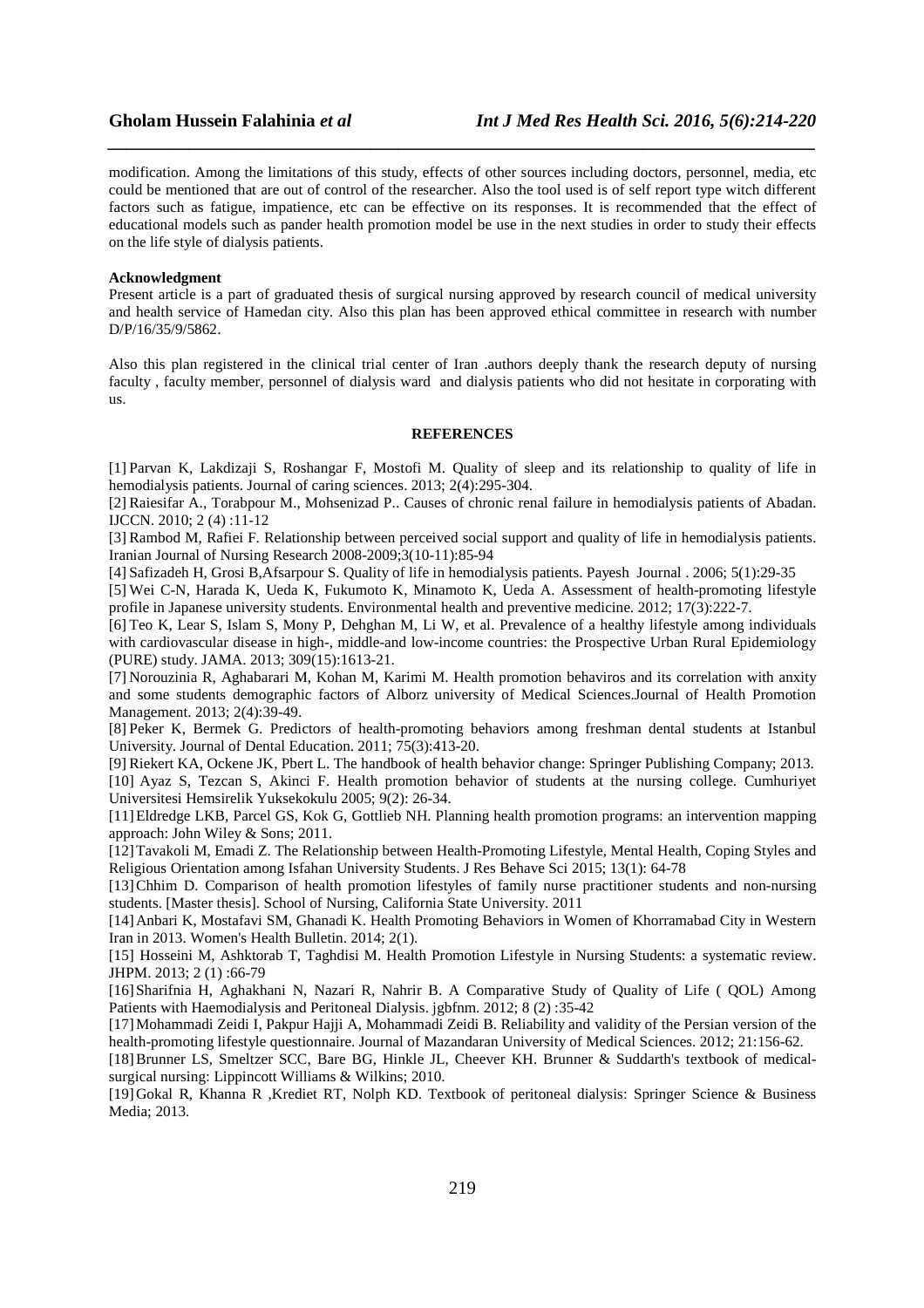modification. Among the limitations of this study, effects of other sources including doctors, personnel, media, etc could be mentioned that are out of control of the researcher. Also the tool used is of self report type witch different factors such as fatigue, impatience, etc can be effective on its responses. It is recommended that the effect of educational models such as pander health promotion model be use in the next studies in order to study their effects on the life style of dialysis patients.

*\_\_\_\_\_\_\_\_\_\_\_\_\_\_\_\_\_\_\_\_\_\_\_\_\_\_\_\_\_\_\_\_\_\_\_\_\_\_\_\_\_\_\_\_\_\_\_\_\_\_\_\_\_\_\_\_\_\_\_\_\_\_\_\_\_\_\_\_\_\_\_\_\_\_\_\_\_\_*

### **Acknowledgment**

Present article is a part of graduated thesis of surgical nursing approved by research council of medical university and health service of Hamedan city. Also this plan has been approved ethical committee in research with number D/P/16/35/9/5862.

Also this plan registered in the clinical trial center of Iran .authors deeply thank the research deputy of nursing faculty , faculty member, personnel of dialysis ward and dialysis patients who did not hesitate in corporating with us.

# **REFERENCES**

[1] Parvan K, Lakdizaji S, Roshangar F, Mostofi M. Quality of sleep and its relationship to quality of life in hemodialysis patients. Journal of caring sciences. 2013; 2(4):295-304.

[2] Raiesifar A., Torabpour M., Mohsenizad P.. Causes of chronic renal failure in hemodialysis patients of Abadan. IJCCN. 2010; 2 (4) :11-12

[3] Rambod M, Rafiei F. Relationship between perceived social support and quality of life in hemodialysis patients. Iranian Journal of Nursing Research 2008-2009;3(10-11):85-94

[4] Safizadeh H, Grosi B,Afsarpour S. Quality of life in hemodialysis patients. Payesh Journal . 2006; 5(1):29-35

[5] Wei C-N, Harada K, Ueda K, Fukumoto K, Minamoto K, Ueda A. Assessment of health-promoting lifestyle profile in Japanese university students. Environmental health and preventive medicine. 2012; 17(3):222-7.

[6] Teo K, Lear S, Islam S, Mony P, Dehghan M, Li W, et al. Prevalence of a healthy lifestyle among individuals with cardiovascular disease in high-, middle-and low-income countries: the Prospective Urban Rural Epidemiology (PURE) study. JAMA. 2013; 309(15):1613-21.

[7] Norouzinia R, Aghabarari M, Kohan M, Karimi M. Health promotion behaviros and its correlation with anxity and some students demographic factors of Alborz university of Medical Sciences.Journal of Health Promotion Management. 2013; 2(4):39-49.

[8] Peker K, Bermek G. Predictors of health-promoting behaviors among freshman dental students at Istanbul University. Journal of Dental Education. 2011; 75(3):413-20.

[9] Riekert KA, Ockene JK, Pbert L. The handbook of health behavior change: Springer Publishing Company; 2013. [10] Ayaz S, Tezcan S, Akinci F. Health promotion behavior of students at the nursing college. Cumhuriyet Universitesi Hemsirelik Yuksekokulu 2005; 9(2): 26-34.

[11]Eldredge LKB, Parcel GS, Kok G, Gottlieb NH. Planning health promotion programs: an intervention mapping approach: John Wiley & Sons; 2011.

[12]Tavakoli M, Emadi Z. The Relationship between Health-Promoting Lifestyle, Mental Health, Coping Styles and Religious Orientation among Isfahan University Students. J Res Behave Sci 2015; 13(1): 64-78

[13]Chhim D. Comparison of health promotion lifestyles of family nurse practitioner students and non-nursing students. [Master thesis]. School of Nursing, California State University. 2011

[14]Anbari K, Mostafavi SM, Ghanadi K. Health Promoting Behaviors in Women of Khorramabad City in Western Iran in 2013. Women's Health Bulletin. 2014; 2(1).

[15] Hosseini M, Ashktorab T, Taghdisi M. Health Promotion Lifestyle in Nursing Students: a systematic review. JHPM. 2013; 2 (1) :66-79

[16]Sharifnia H, Aghakhani N, Nazari R, Nahrir B. A Comparative Study of Quality of Life ( QOL) Among Patients with Haemodialysis and Peritoneal Dialysis. jgbfnm. 2012; 8 (2):35-42

[17]Mohammadi Zeidi I, Pakpur Hajji A, Mohammadi Zeidi B. Reliability and validity of the Persian version of the health-promoting lifestyle questionnaire. Journal of Mazandaran University of Medical Sciences. 2012; 21:156-62.

[18]Brunner LS, Smeltzer SCC, Bare BG, Hinkle JL, Cheever KH. Brunner & Suddarth's textbook of medicalsurgical nursing: Lippincott Williams & Wilkins; 2010.

[19]Gokal R, Khanna R ,Krediet RT, Nolph KD. Textbook of peritoneal dialysis: Springer Science & Business Media; 2013.